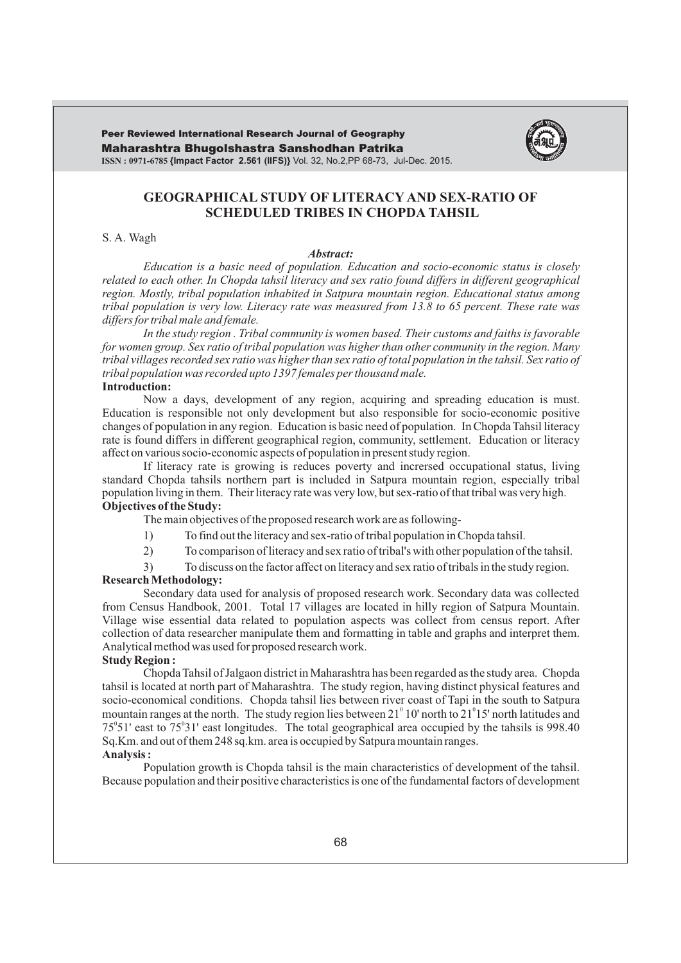Maharashtra Bhugolshastra Sanshodhan Patrika **ISSN : 0971-6785 {Impact Factor 2.561 (IIFS)}** Vol. 32, No.2,PP 68-73, Jul-Dec. 2015. Peer Reviewed International Research Journal of Geography



# **GEOGRAPHICAL STUDY OF LITERACY AND SEX-RATIO OF SCHEDULED TRIBES IN CHOPDA TAHSIL**

### S. A. Wagh

#### *Abstract:*

*Education is a basic need of population. Education and socio-economic status is closely related to each other. In Chopda tahsil literacy and sex ratio found differs in different geographical region. Mostly, tribal population inhabited in Satpura mountain region. Educational status among tribal population is very low. Literacy rate was measured from 13.8 to 65 percent. These rate was differs for tribal male and female.*

*In the study region . Tribal community is women based. Their customs and faiths is favorable for women group. Sex ratio of tribal population was higher than other community in the region. Many tribal villages recorded sex ratio was higher than sex ratio of total population in the tahsil. Sex ratio of tribal population was recorded upto 1397 females per thousand male.*  **Introduction:**

Now a days, development of any region, acquiring and spreading education is must. Education is responsible not only development but also responsible for socio-economic positive changes of population in any region. Education is basic need of population. In Chopda Tahsil literacy rate is found differs in different geographical region, community, settlement. Education or literacy affect on various socio-economic aspects of population in present study region.

If literacy rate is growing is reduces poverty and incrersed occupational status, living standard Chopda tahsils northern part is included in Satpura mountain region, especially tribal population living in them. Their literacy rate was very low, but sex-ratio of that tribal was very high. **Objectives of the Study:**

The main objectives of the proposed research work are as following-

- 1) To find out the literacy and sex-ratio of tribal population in Chopda tahsil.
- 2) To comparison of literacy and sex ratio of tribal's with other population of the tahsil.
- 3) To discuss on the factor affect on literacy and sex ratio of tribals in the study region.

#### **Research Methodology:**

Secondary data used for analysis of proposed research work. Secondary data was collected from Census Handbook, 2001. Total 17 villages are located in hilly region of Satpura Mountain. Village wise essential data related to population aspects was collect from census report. After collection of data researcher manipulate them and formatting in table and graphs and interpret them. Analytical method was used for proposed research work.

### **Study Region :**

Chopda Tahsil of Jalgaon district in Maharashtra has been regarded as the study area. Chopda tahsil is located at north part of Maharashtra. The study region, having distinct physical features and socio-economical conditions. Chopda tahsil lies between river coast of Tapi in the south to Satpura mountain ranges at the north. The study region lies between  $21^{\circ}10'$  north to  $21^{\circ}15'$  north latitudes and  $75^{\circ}51'$  east to  $75^{\circ}31'$  east longitudes. The total geographical area occupied by the tahsils is 998.40 Sq.Km. and out of them 248 sq.km. area is occupied by Satpura mountain ranges. **Analysis :**

Population growth is Chopda tahsil is the main characteristics of development of the tahsil. Because population and their positive characteristics is one of the fundamental factors of development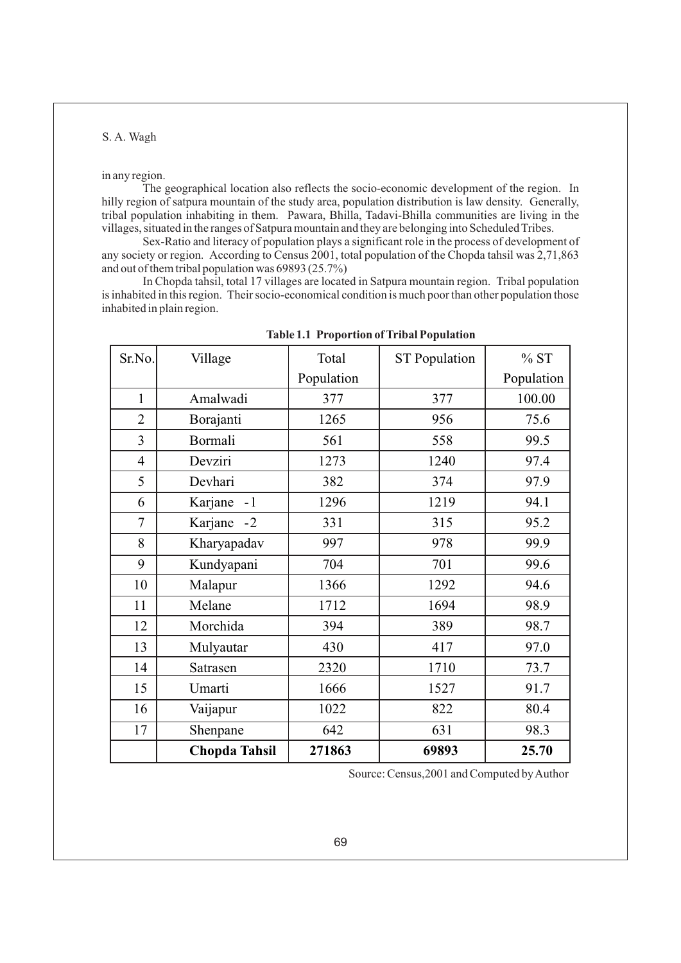#### in any region.

The geographical location also reflects the socio-economic development of the region. In hilly region of satpura mountain of the study area, population distribution is law density. Generally, tribal population inhabiting in them. Pawara, Bhilla, Tadavi-Bhilla communities are living in the villages, situated in the ranges of Satpura mountain and they are belonging into Scheduled Tribes.

Sex-Ratio and literacy of population plays a significant role in the process of development of any society or region. According to Census 2001, total population of the Chopda tahsil was 2,71,863 and out of them tribal population was 69893 (25.7%)

In Chopda tahsil, total 17 villages are located in Satpura mountain region. Tribal population is inhabited in this region. Their socio-economical condition is much poor than other population those inhabited in plain region.

| Sr.No.         | Village              | Total      | <b>ST Population</b> | %ST        |
|----------------|----------------------|------------|----------------------|------------|
|                |                      | Population |                      | Population |
| $\mathbf{1}$   | Amalwadi             | 377        | 377                  | 100.00     |
| $\overline{2}$ | Borajanti            | 1265       | 956                  | 75.6       |
| 3              | Bormali              | 561        | 558                  | 99.5       |
| $\overline{4}$ | Devziri              | 1273       | 1240                 | 97.4       |
| 5              | Devhari              | 382        | 374                  | 97.9       |
| 6              | Karjane<br>$-1$      | 1296       | 1219                 | 94.1       |
| 7              | Karjane -2           | 331        | 315                  | 95.2       |
| 8              | Kharyapadav          | 997        | 978                  | 99.9       |
| 9              | Kundyapani           | 704        | 701                  | 99.6       |
| 10             | Malapur              | 1366       | 1292                 | 94.6       |
| 11             | Melane               | 1712       | 1694                 | 98.9       |
| 12             | Morchida             | 394        | 389                  | 98.7       |
| 13             | Mulyautar            | 430        | 417                  | 97.0       |
| 14             | Satrasen             | 2320       | 1710                 | 73.7       |
| 15             | Umarti               | 1666       | 1527                 | 91.7       |
| 16             | Vaijapur             | 1022       | 822                  | 80.4       |
| 17             | Shenpane             | 642        | 631                  | 98.3       |
|                | <b>Chopda Tahsil</b> | 271863     | 69893                | 25.70      |

**Table 1.1 Proportion of Tribal Population**

Source: Census,2001 and Computed by Author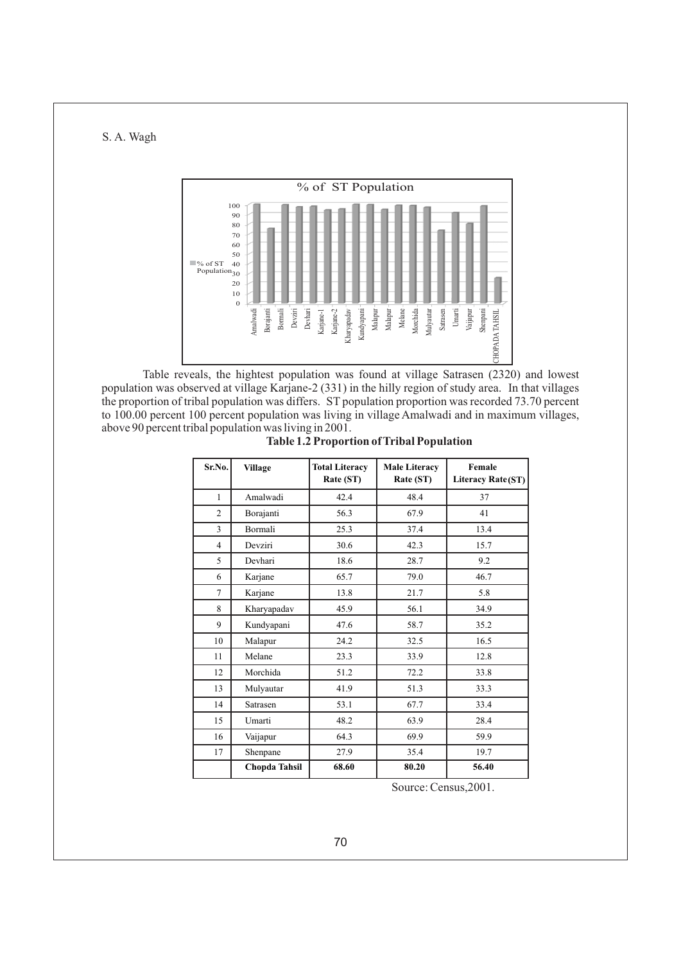

Table reveals, the hightest population was found at village Satrasen (2320) and lowest population was observed at village Karjane-2 (331) in the hilly region of study area. In that villages the proportion of tribal population was differs. ST population proportion was recorded 73.70 percent to 100.00 percent 100 percent population was living in village Amalwadi and in maximum villages, above 90 percent tribal population was living in 2001.

| Sr.No.         | <b>Village</b>       | <b>Total Literacy</b><br>Rate (ST) | <b>Male Literacy</b><br>Rate (ST) | Female<br>Literacy Rate(ST) |  |
|----------------|----------------------|------------------------------------|-----------------------------------|-----------------------------|--|
| $\mathbf{1}$   | Amalwadi             | 42.4                               | 48.4                              | 37                          |  |
| 2              | Borajanti            | 56.3                               | 67.9                              | 41                          |  |
| 3              | Bormali              | 25.3                               | 37.4                              | 13.4                        |  |
| $\overline{4}$ | Devziri              | 30.6                               | 42.3                              | 15.7                        |  |
| 5              | Devhari              | 18.6                               | 28.7                              | 9.2                         |  |
| 6              | Karjane              | 65.7                               | 79.0                              | 46.7                        |  |
| 7              | Karjane              | 13.8                               | 21.7                              | 5.8                         |  |
| 8              | Kharyapadav          | 45.9                               | 56.1                              | 34.9                        |  |
| 9              | Kundyapani           | 47.6                               | 58.7                              | 35.2                        |  |
| 10             | Malapur              | 24.2                               | 32.5                              | 16.5                        |  |
| 11             | Melane               | 23.3                               | 33.9                              | 12.8                        |  |
| 12             | Morchida             | 51.2                               | 72.2                              | 33.8                        |  |
| 13             | Mulyautar            | 41.9                               | 51.3                              | 33.3                        |  |
| 14             | Satrasen             | 53.1                               | 67.7                              | 33.4                        |  |
| 15             | Umarti               | 48.2                               | 63.9                              | 28.4                        |  |
| 16             | Vaijapur             | 64.3                               | 69.9                              | 59.9                        |  |
| 17             | Shenpane             | 27.9                               | 35.4                              | 19.7                        |  |
|                | <b>Chopda Tahsil</b> | 68.60                              | 80.20                             | 56.40                       |  |

Source: Census,2001.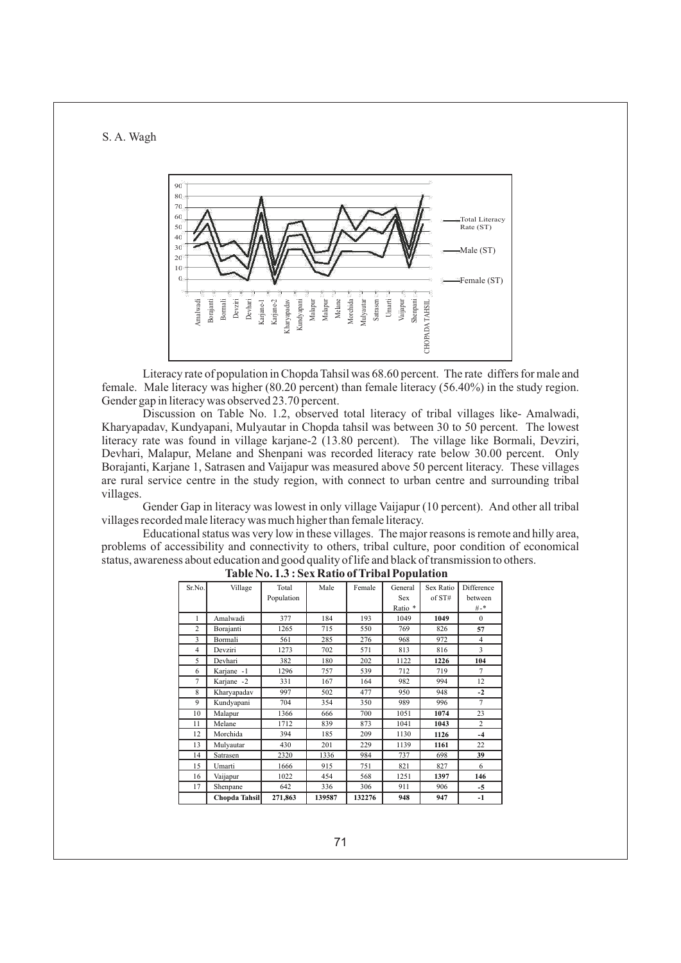

Literacy rate of population in Chopda Tahsil was 68.60 percent. The rate differs for male and female. Male literacy was higher (80.20 percent) than female literacy (56.40%) in the study region. Gender gap in literacy was observed 23.70 percent.

Discussion on Table No. 1.2, observed total literacy of tribal villages like- Amalwadi, Kharyapadav, Kundyapani, Mulyautar in Chopda tahsil was between 30 to 50 percent. The lowest literacy rate was found in village karjane-2 (13.80 percent). The village like Bormali, Devziri, Devhari, Malapur, Melane and Shenpani was recorded literacy rate below 30.00 percent. Only Borajanti, Karjane 1, Satrasen and Vaijapur was measured above 50 percent literacy. These villages are rural service centre in the study region, with connect to urban centre and surrounding tribal villages.

Gender Gap in literacy was lowest in only village Vaijapur (10 percent). And other all tribal villages recorded male literacy was much higher than female literacy.

Educational status was very low in these villages. The major reasons is remote and hilly area, problems of accessibility and connectivity to others, tribal culture, poor condition of economical status, awareness about education and good quality of life and black of transmission to others.

| Sr.No.         | Village       | Total      | Male   | Female | General    | Sex Ratio | Difference     |
|----------------|---------------|------------|--------|--------|------------|-----------|----------------|
|                |               | Population |        |        | <b>Sex</b> | of ST#    | between        |
|                |               |            |        |        | Ratio *    |           | #-*            |
| 1              | Amalwadi      | 377        | 184    | 193    | 1049       | 1049      | $\Omega$       |
| $\overline{c}$ | Borajanti     | 1265       | 715    | 550    | 769        | 826       | 57             |
| 3              | Bormali       | 561        | 285    | 276    | 968        | 972       | $\overline{4}$ |
| 4              | Devziri       | 1273       | 702    | 571    | 813        | 816       | 3              |
| 5              | Devhari       | 382        | 180    | 202    | 1122       | 1226      | 104            |
| 6              | Karjane -1    | 1296       | 757    | 539    | 712        | 719       | 7              |
| 7              | Karjane -2    | 331        | 167    | 164    | 982        | 994       | 12             |
| 8              | Kharyapadav   | 997        | 502    | 477    | 950        | 948       | $-2$           |
| 9              | Kundyapani    | 704        | 354    | 350    | 989        | 996       | 7              |
| 10             | Malapur       | 1366       | 666    | 700    | 1051       | 1074      | 23             |
| 11             | Melane        | 1712       | 839    | 873    | 1041       | 1043      | $\overline{c}$ |
| 12             | Morchida      | 394        | 185    | 209    | 1130       | 1126      | $-4$           |
| 13             | Mulyautar     | 430        | 201    | 229    | 1139       | 1161      | 22             |
| 14             | Satrasen      | 2320       | 1336   | 984    | 737        | 698       | 39             |
| 15             | Umarti        | 1666       | 915    | 751    | 821        | 827       | 6              |
| 16             | Vaijapur      | 1022       | 454    | 568    | 1251       | 1397      | 146            |
| 17             | Shenpane      | 642        | 336    | 306    | 911        | 906       | $-5$           |
|                | Chopda Tahsil | 271,863    | 139587 | 132276 | 948        | 947       | $-1$           |

**Table No. 1.3 : Sex Ratio of Tribal Population**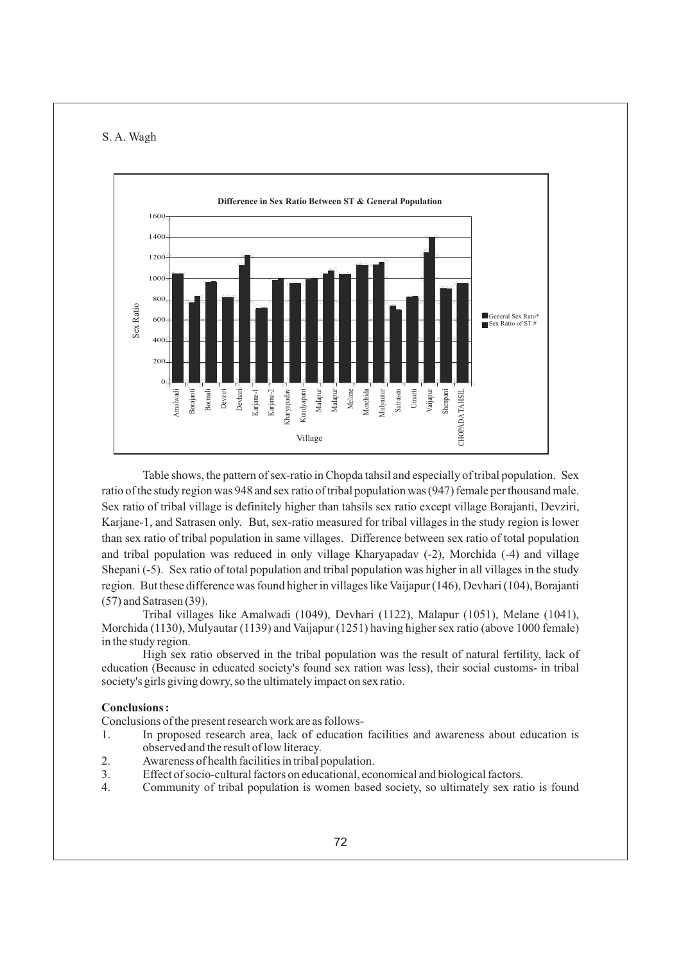

Table shows, the pattern of sex-ratio in Chopda tahsil and especially of tribal population. Sex ratio of the study region was 948 and sex ratio of tribal population was (947) female per thousand male. Sex ratio of tribal village is definitely higher than tahsils sex ratio except village Borajanti, Devziri, Karjane-1, and Satrasen only. But, sex-ratio measured for tribal villages in the study region is lower than sex ratio of tribal population in same villages. Difference between sex ratio of total population and tribal population was reduced in only village Kharyapadav (-2), Morchida (-4) and village Shepani (-5). Sex ratio of total population and tribal population was higher in all villages in the study region. But these difference was found higher in villages like Vaijapur (146), Devhari (104), Borajanti (57) and Satrasen (39).

Tribal villages like Amalwadi (1049), Devhari (1122), Malapur (1051), Melane (1041), Morchida (1130), Mulyautar (1139) and Vaijapur (1251) having higher sex ratio (above 1000 female) in the study region.

High sex ratio observed in the tribal population was the result of natural fertility, lack of education (Because in educated society's found sex ration was less), their social customs- in tribal society's girls giving dowry, so the ultimately impact on sex ratio.

### **Conclusions :**

Conclusions of the present research work are as follows-

- 1. In proposed research area, lack of education facilities and awareness about education is observed and the result of low literacy.
- 2. Awareness of health facilities in tribal population.
- 3. Effect of socio-cultural factors on educational, economical and biological factors.
-